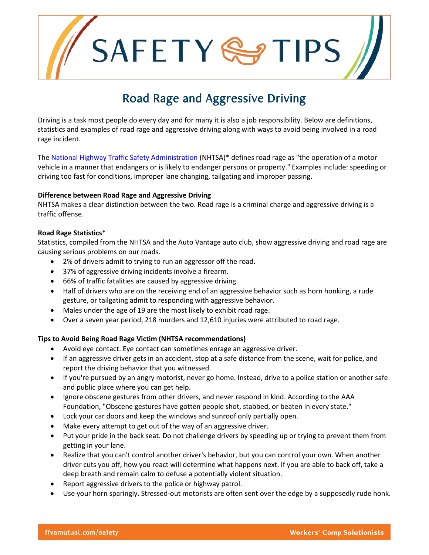SAFETYSS

# Road Rage and Aggressive Driving

Driving is a task most people do every day and for many it is also a job responsibility. Below are definitions, statistics and examples of road rage and aggressive driving along with ways to avoid being involved in a road rage incident.

The [National Highway Traffic Safety Administration](http://www.nhtsa.gov/people/injury/aggressive/aggproplanner/page05.htmhttp:/www.nhtsa.gov) (NHTSA)\* defines road rage as "the operation of a motor vehicle in a manner that endangers or is likely to endanger persons or property." Examples include: speeding or driving too fast for conditions, improper lane changing, tailgating and improper passing.

### **Difference between Road Rage and Aggressive Driving**

NHTSA makes a clear distinction between the two. Road rage is a criminal charge and aggressive driving is a traffic offense.

# **Road Rage Statistics\***

Statistics, compiled from the NHTSA and the Auto Vantage auto club, show aggressive driving and road rage are causing serious problems on our roads.

- 2% of drivers admit to trying to run an aggressor off the road.
- 37% of aggressive driving incidents involve a firearm.
- 66% of traffic fatalities are caused by aggressive driving.
- Half of drivers who are on the receiving end of an aggressive behavior such as horn honking, a rude gesture, or tailgating admit to responding with aggressive behavior.
- Males under the age of 19 are the most likely to exhibit road rage.
- Over a seven year period, 218 murders and 12,610 injuries were attributed to road rage.

# **Tips to Avoid Being Road Rage Victim (NHTSA recommendations)**

- Avoid eye contact. Eye contact can sometimes enrage an aggressive driver.
- If an aggressive driver gets in an accident, stop at a safe distance from the scene, wait for police, and report the driving behavior that you witnessed.
- If you're pursued by an angry motorist, never go home. Instead, drive to a police station or another safe and public place where you can get help.
- Ignore obscene gestures from other drivers, and never respond in kind. According to the AAA Foundation, "Obscene gestures have gotten people shot, stabbed, or beaten in every state."
- Lock your car doors and keep the windows and sunroof only partially open.
- Make every attempt to get out of the way of an aggressive driver.
- Put your pride in the back seat. Do not challenge drivers by speeding up or trying to prevent them from getting in your lane.
- Realize that you can't control another driver's behavior, but you can control your own. When another driver cuts you off, how you react will determine what happens next. If you are able to back off, take a deep breath and remain calm to defuse a potentially violent situation.
- Report aggressive drivers to the police or highway patrol.
- Use your horn sparingly. Stressed-out motorists are often sent over the edge by a supposedly rude honk.